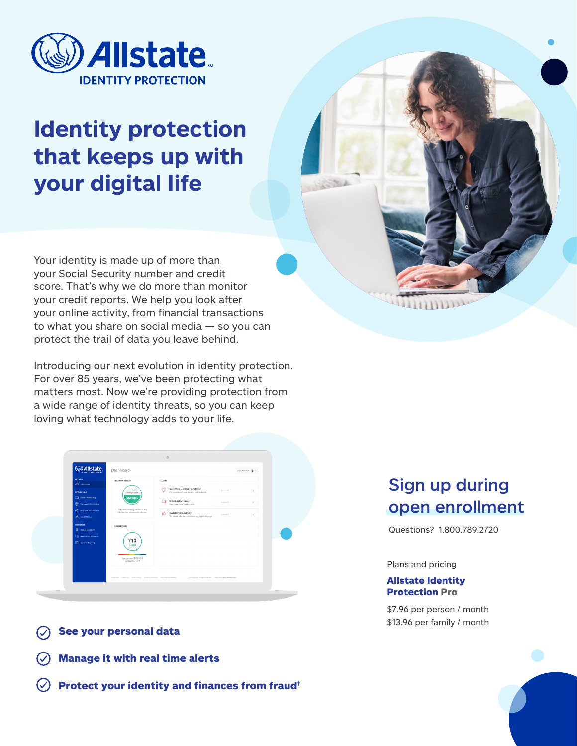

# **Identity protection that keeps up with your digital life**

Your identity is made up of more than your Social Security number and credit score. That's why we do more than monitor your credit reports. We help you look after your online activity, from financial transactions to what you share on social media — so you can protect the trail of data you leave behind.

Introducing our next evolution in identity protection. For over 85 years, we've been protecting what matters most. Now we're providing protection from a wide range of identity threats, so you can keep loving what technology adds to your life.



- See your personal data
- Manage it with real time alerts
- Protect your identity and finances from fraud†

# Sign up during open enrollment

Questions? 1.800.789.2720

#### Plans and pricing

#### Allstate Identity Protection Pro

\$7.96 per person / month \$13.96 per family / month